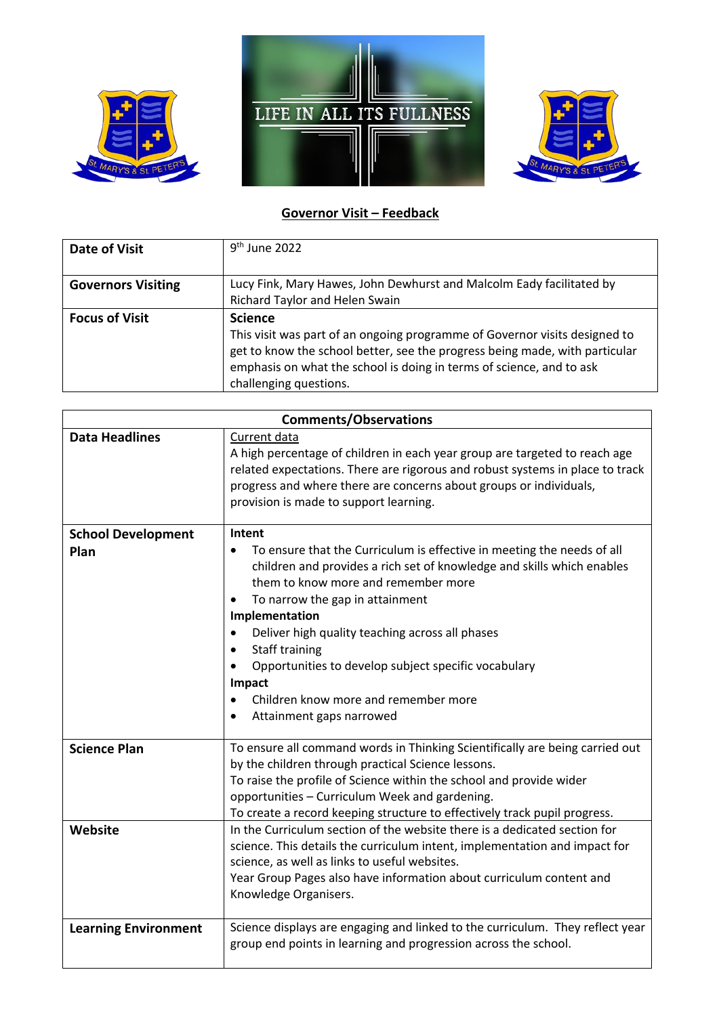





## **Governor Visit – Feedback**

| Date of Visit             | $9th$ June 2022                                                                                                                                                                                                                                             |
|---------------------------|-------------------------------------------------------------------------------------------------------------------------------------------------------------------------------------------------------------------------------------------------------------|
|                           |                                                                                                                                                                                                                                                             |
| <b>Governors Visiting</b> | Lucy Fink, Mary Hawes, John Dewhurst and Malcolm Eady facilitated by                                                                                                                                                                                        |
|                           | Richard Taylor and Helen Swain                                                                                                                                                                                                                              |
| <b>Focus of Visit</b>     | <b>Science</b>                                                                                                                                                                                                                                              |
|                           | This visit was part of an ongoing programme of Governor visits designed to<br>get to know the school better, see the progress being made, with particular<br>emphasis on what the school is doing in terms of science, and to ask<br>challenging questions. |

| <b>Comments/Observations</b>      |                                                                                                                                                                                                                                                                                                                                                                                                                                                                                                                 |  |
|-----------------------------------|-----------------------------------------------------------------------------------------------------------------------------------------------------------------------------------------------------------------------------------------------------------------------------------------------------------------------------------------------------------------------------------------------------------------------------------------------------------------------------------------------------------------|--|
| <b>Data Headlines</b>             | Current data<br>A high percentage of children in each year group are targeted to reach age<br>related expectations. There are rigorous and robust systems in place to track<br>progress and where there are concerns about groups or individuals,<br>provision is made to support learning.                                                                                                                                                                                                                     |  |
| <b>School Development</b><br>Plan | Intent<br>To ensure that the Curriculum is effective in meeting the needs of all<br>$\bullet$<br>children and provides a rich set of knowledge and skills which enables<br>them to know more and remember more<br>To narrow the gap in attainment<br>Implementation<br>Deliver high quality teaching across all phases<br>$\bullet$<br><b>Staff training</b><br>$\bullet$<br>Opportunities to develop subject specific vocabulary<br>Impact<br>Children know more and remember more<br>Attainment gaps narrowed |  |
| <b>Science Plan</b><br>Website    | To ensure all command words in Thinking Scientifically are being carried out<br>by the children through practical Science lessons.<br>To raise the profile of Science within the school and provide wider<br>opportunities - Curriculum Week and gardening.<br>To create a record keeping structure to effectively track pupil progress.<br>In the Curriculum section of the website there is a dedicated section for                                                                                           |  |
|                                   | science. This details the curriculum intent, implementation and impact for<br>science, as well as links to useful websites.<br>Year Group Pages also have information about curriculum content and<br>Knowledge Organisers.                                                                                                                                                                                                                                                                                     |  |
| <b>Learning Environment</b>       | Science displays are engaging and linked to the curriculum. They reflect year<br>group end points in learning and progression across the school.                                                                                                                                                                                                                                                                                                                                                                |  |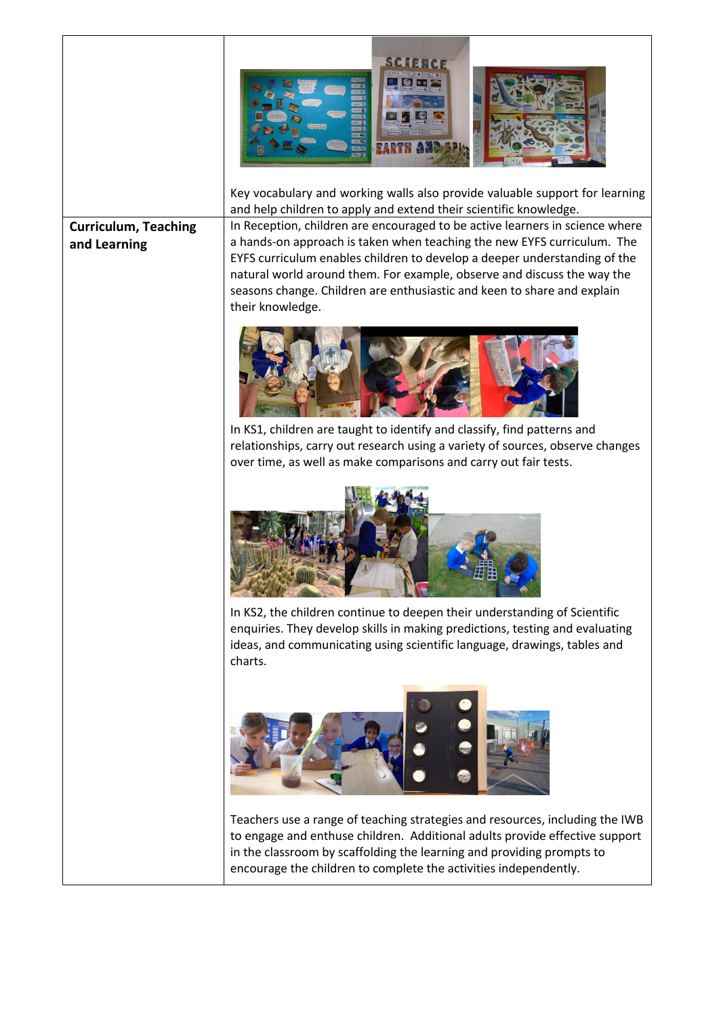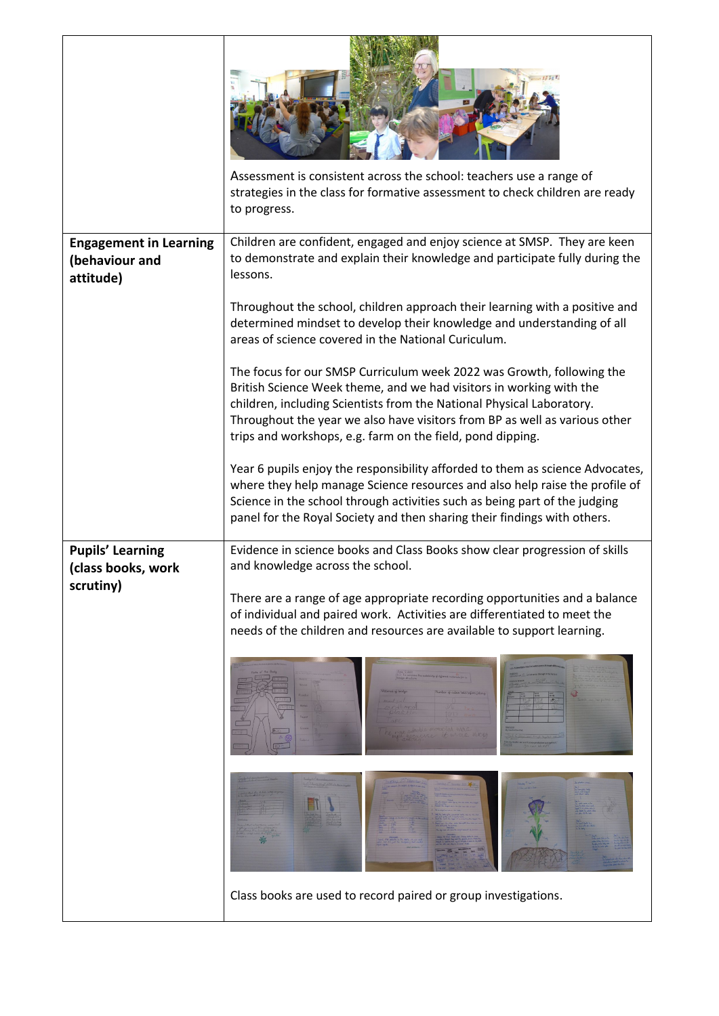|                                                              | Assessment is consistent across the school: teachers use a range of<br>strategies in the class for formative assessment to check children are ready<br>to progress.                                                                                                                                                                                               |
|--------------------------------------------------------------|-------------------------------------------------------------------------------------------------------------------------------------------------------------------------------------------------------------------------------------------------------------------------------------------------------------------------------------------------------------------|
| <b>Engagement in Learning</b><br>(behaviour and<br>attitude) | Children are confident, engaged and enjoy science at SMSP. They are keen<br>to demonstrate and explain their knowledge and participate fully during the<br>lessons.                                                                                                                                                                                               |
|                                                              | Throughout the school, children approach their learning with a positive and<br>determined mindset to develop their knowledge and understanding of all<br>areas of science covered in the National Curiculum.                                                                                                                                                      |
|                                                              | The focus for our SMSP Curriculum week 2022 was Growth, following the<br>British Science Week theme, and we had visitors in working with the<br>children, including Scientists from the National Physical Laboratory.<br>Throughout the year we also have visitors from BP as well as various other<br>trips and workshops, e.g. farm on the field, pond dipping. |
|                                                              | Year 6 pupils enjoy the responsibility afforded to them as science Advocates,<br>where they help manage Science resources and also help raise the profile of<br>Science in the school through activities such as being part of the judging<br>panel for the Royal Society and then sharing their findings with others.                                            |
| <b>Pupils' Learning</b><br>(class books, work<br>scrutiny)   | Evidence in science books and Class Books show clear progression of skills<br>and knowledge across the school.<br>There are a range of age appropriate recording opportunities and a balance<br>of individual and paired work. Activities are differentiated to meet the<br>needs of the children and resources are available to support learning.                |
|                                                              |                                                                                                                                                                                                                                                                                                                                                                   |
|                                                              |                                                                                                                                                                                                                                                                                                                                                                   |
|                                                              | Class books are used to record paired or group investigations.                                                                                                                                                                                                                                                                                                    |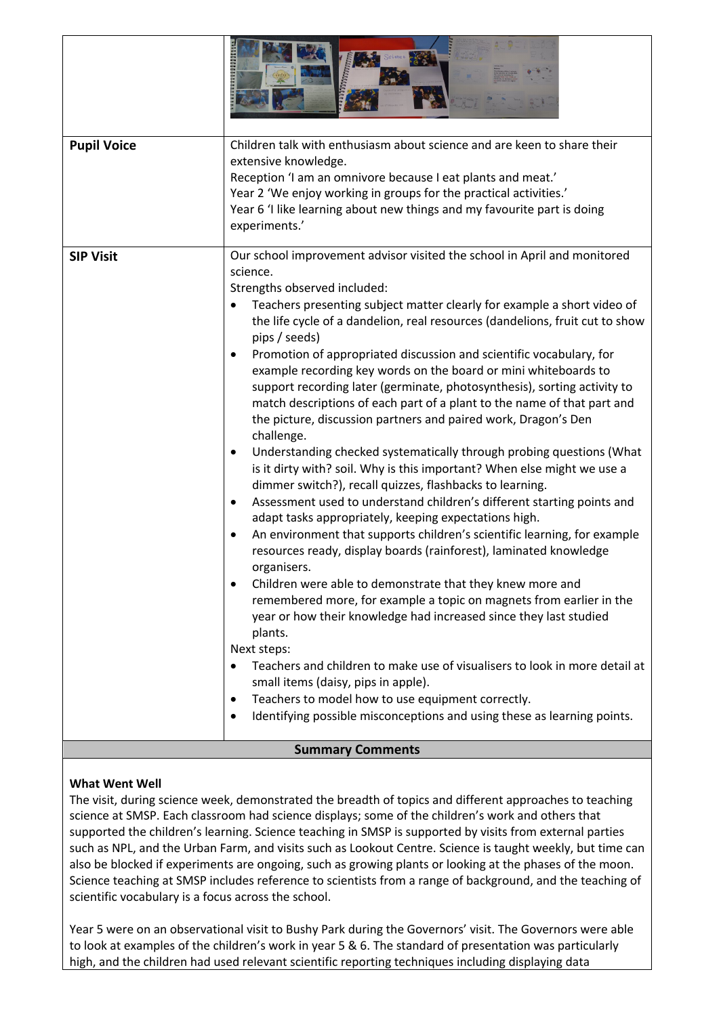| <b>Pupil Voice</b>      | Children talk with enthusiasm about science and are keen to share their<br>extensive knowledge.<br>Reception 'I am an omnivore because I eat plants and meat.'<br>Year 2 'We enjoy working in groups for the practical activities.'<br>Year 6 'I like learning about new things and my favourite part is doing<br>experiments.'                                                                                                                                                                                                                                                                                                                                                                                                                                                                                                                                                                                                                                                                                                                                                                                                                                                                                                                                                                                                                                                                                                                                                                                                                                                                                                                                                                                                                                                     |  |
|-------------------------|-------------------------------------------------------------------------------------------------------------------------------------------------------------------------------------------------------------------------------------------------------------------------------------------------------------------------------------------------------------------------------------------------------------------------------------------------------------------------------------------------------------------------------------------------------------------------------------------------------------------------------------------------------------------------------------------------------------------------------------------------------------------------------------------------------------------------------------------------------------------------------------------------------------------------------------------------------------------------------------------------------------------------------------------------------------------------------------------------------------------------------------------------------------------------------------------------------------------------------------------------------------------------------------------------------------------------------------------------------------------------------------------------------------------------------------------------------------------------------------------------------------------------------------------------------------------------------------------------------------------------------------------------------------------------------------------------------------------------------------------------------------------------------------|--|
| <b>SIP Visit</b>        | Our school improvement advisor visited the school in April and monitored<br>science.<br>Strengths observed included:<br>Teachers presenting subject matter clearly for example a short video of<br>$\bullet$<br>the life cycle of a dandelion, real resources (dandelions, fruit cut to show<br>pips / seeds)<br>Promotion of appropriated discussion and scientific vocabulary, for<br>$\bullet$<br>example recording key words on the board or mini whiteboards to<br>support recording later (germinate, photosynthesis), sorting activity to<br>match descriptions of each part of a plant to the name of that part and<br>the picture, discussion partners and paired work, Dragon's Den<br>challenge.<br>Understanding checked systematically through probing questions (What<br>$\bullet$<br>is it dirty with? soil. Why is this important? When else might we use a<br>dimmer switch?), recall quizzes, flashbacks to learning.<br>Assessment used to understand children's different starting points and<br>$\bullet$<br>adapt tasks appropriately, keeping expectations high.<br>An environment that supports children's scientific learning, for example<br>$\bullet$<br>resources ready, display boards (rainforest), laminated knowledge<br>organisers.<br>Children were able to demonstrate that they knew more and<br>$\bullet$<br>remembered more, for example a topic on magnets from earlier in the<br>year or how their knowledge had increased since they last studied<br>plants.<br>Next steps:<br>Teachers and children to make use of visualisers to look in more detail at<br>small items (daisy, pips in apple).<br>Teachers to model how to use equipment correctly.<br>٠<br>Identifying possible misconceptions and using these as learning points.<br>٠ |  |
| <b>Summary Comments</b> |                                                                                                                                                                                                                                                                                                                                                                                                                                                                                                                                                                                                                                                                                                                                                                                                                                                                                                                                                                                                                                                                                                                                                                                                                                                                                                                                                                                                                                                                                                                                                                                                                                                                                                                                                                                     |  |

## **What Went Well**

The visit, during science week, demonstrated the breadth of topics and different approaches to teaching science at SMSP. Each classroom had science displays; some of the children's work and others that supported the children's learning. Science teaching in SMSP is supported by visits from external parties such as NPL, and the Urban Farm, and visits such as Lookout Centre. Science is taught weekly, but time can also be blocked if experiments are ongoing, such as growing plants or looking at the phases of the moon. Science teaching at SMSP includes reference to scientists from a range of background, and the teaching of scientific vocabulary is a focus across the school.

Year 5 were on an observational visit to Bushy Park during the Governors' visit. The Governors were able to look at examples of the children's work in year 5 & 6. The standard of presentation was particularly high, and the children had used relevant scientific reporting techniques including displaying data